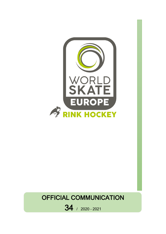

## OFFICIAL COMMUNICATION

34 / 2020 – <sup>2021</sup>